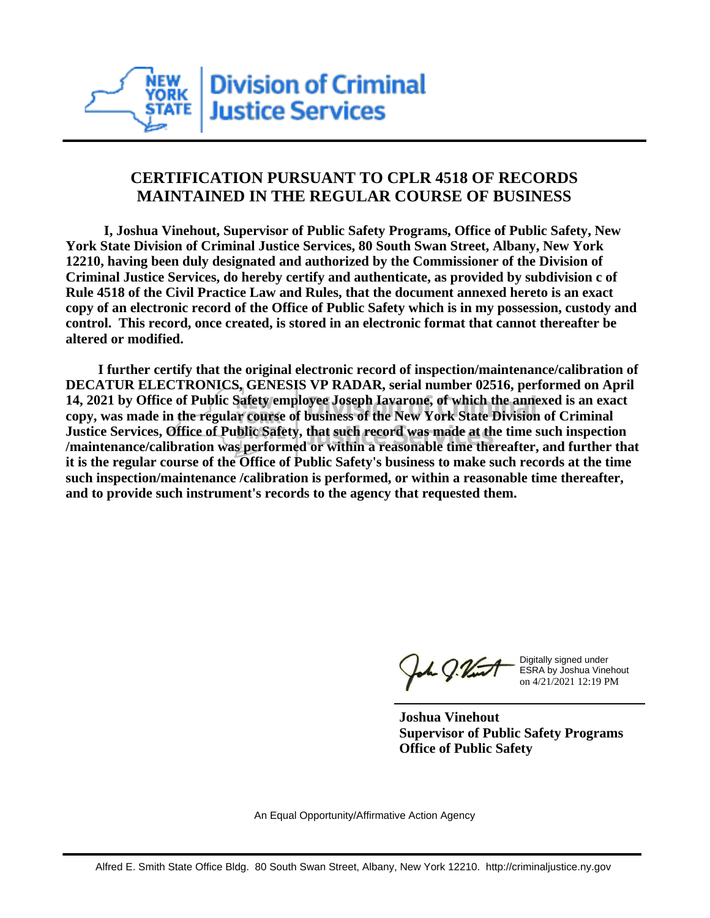

## **CERTIFICATION PURSUANT TO CPLR 4518 OF RECORDS MAINTAINED IN THE REGULAR COURSE OF BUSINESS**

 **I, Joshua Vinehout, Supervisor of Public Safety Programs, Office of Public Safety, New York State Division of Criminal Justice Services, 80 South Swan Street, Albany, New York 12210, having been duly designated and authorized by the Commissioner of the Division of Criminal Justice Services, do hereby certify and authenticate, as provided by subdivision c of Rule 4518 of the Civil Practice Law and Rules, that the document annexed hereto is an exact copy of an electronic record of the Office of Public Safety which is in my possession, custody and control. This record, once created, is stored in an electronic format that cannot thereafter be altered or modified.**

 **I further certify that the original electronic record of inspection/maintenance/calibration of DECATUR ELECTRONICS, GENESIS VP RADAR, serial number 02516, performed on April 14, 2021 by Office of Public Safety employee Joseph Iavarone, of which the annexed is an exact copy, was made in the regular course of business of the New York State Division of Criminal Justice Services, Office of Public Safety, that such record was made at the time such inspection /maintenance/calibration was performed or within a reasonable time thereafter, and further that it is the regular course of the Office of Public Safety's business to make such records at the time such inspection/maintenance /calibration is performed, or within a reasonable time thereafter, and to provide such instrument's records to the agency that requested them.**

the J. Vint

Digitally signed under ESRA by Joshua Vinehout on 4/21/2021 12:19 PM

**Joshua Vinehout Supervisor of Public Safety Programs Office of Public Safety**

An Equal Opportunity/Affirmative Action Agency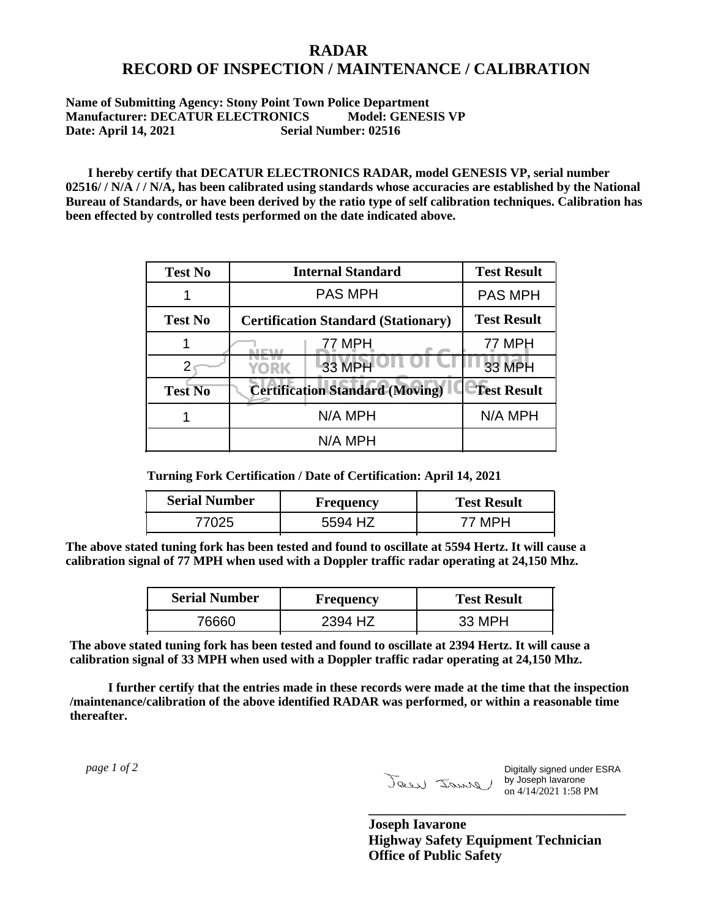## **RADAR RECORD OF INSPECTION / MAINTENANCE / CALIBRATION**

## **Name of Submitting Agency: Stony Point Town Police Department Manufacturer: DECATUR ELECTRONICS** Model: GENESIS VP<br>Date: April 14, 2021 Serial Number: 02516 **Date: April 14, 2021**

 **I hereby certify that DECATUR ELECTRONICS RADAR, model GENESIS VP, serial number 02516/ / N/A / / N/A, has been calibrated using standards whose accuracies are established by the National Bureau of Standards, or have been derived by the ratio type of self calibration techniques. Calibration has been effected by controlled tests performed on the date indicated above.**

| <b>Test No</b> | <b>Internal Standard</b>                   | <b>Test Result</b> |
|----------------|--------------------------------------------|--------------------|
|                | <b>PAS MPH</b>                             | <b>PAS MPH</b>     |
| <b>Test No</b> | <b>Certification Standard (Stationary)</b> | <b>Test Result</b> |
|                | 77 MPH                                     | 77 MPH             |
|                | 33 MPH<br><b>YORK</b>                      | <b>33 MPH</b>      |
| <b>Test No</b> | <b>Certification Standard (Moving)</b>     | <b>Test Result</b> |
|                | N/A MPH                                    | N/A MPH            |
|                | N/A MPH                                    |                    |

**Turning Fork Certification / Date of Certification: April 14, 2021**

| <b>Serial Number</b> | <b>Frequency</b> | <b>Test Result</b> |
|----------------------|------------------|--------------------|
| フハクド                 | . HZ<br>5594     |                    |

**The above stated tuning fork has been tested and found to oscillate at 5594 Hertz. It will cause a calibration signal of 77 MPH when used with a Doppler traffic radar operating at 24,150 Mhz.**

| <b>Serial Number</b> | Frequency | <b>Test Result</b> |
|----------------------|-----------|--------------------|
| 76660.               | 2394 HZ   | 33 MPH             |

**The above stated tuning fork has been tested and found to oscillate at 2394 Hertz. It will cause a calibration signal of 33 MPH when used with a Doppler traffic radar operating at 24,150 Mhz.**

 **I further certify that the entries made in these records were made at the time that the inspection /maintenance/calibration of the above identified RADAR was performed, or within a reasonable time thereafter.**

 *page 1 of 2* 

Digitally signed under ESRA by Joseph Iavarone on 4/14/2021 1:58 PM

**Joseph Iavarone Highway Safety Equipment Technician Office of Public Safety**

**\_\_\_\_\_\_\_\_\_\_\_\_\_\_\_\_\_\_\_\_\_\_\_\_\_\_\_\_\_\_\_\_\_\_\_\_\_**